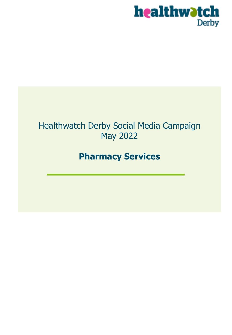

## Healthwatch Derby Social Media Campaign May 2022

## **Pharmacy Services**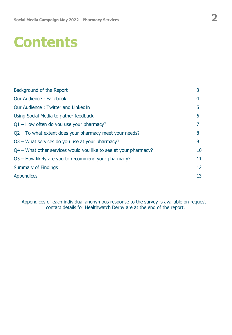# **Contents**

| Background of the Report                                         | 3  |
|------------------------------------------------------------------|----|
| Our Audience: Facebook                                           | 4  |
| Our Audience: Twitter and LinkedIn                               | 5  |
| Using Social Media to gather feedback                            | 6  |
| $Q1$ – How often do you use your pharmacy?                       | 7  |
| $Q2$ – To what extent does your pharmacy meet your needs?        | 8  |
| Q3 - What services do you use at your pharmacy?                  | 9  |
| Q4 – What other services would you like to see at your pharmacy? | 10 |
| Q5 – How likely are you to recommend your pharmacy?              | 11 |
| <b>Summary of Findings</b>                                       | 12 |
| <b>Appendices</b>                                                | 13 |

Appendices of each individual anonymous response to the survey is available on request contact details for Healthwatch Derby are at the end of the report.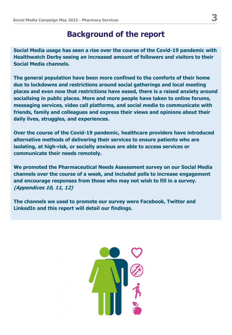### **Background of the report**

**Social Media usage has seen a rise over the course of the Covid-19 pandemic with Healthwatch Derby seeing an increased amount of followers and visitors to their Social Media channels.**

**The general population have been more confined to the comforts of their home due to lockdowns and restrictions around social gatherings and local meeting places and even now that restrictions have eased, there is a raised anxiety around socialising in public places. More and more people have taken to online forums, messaging services, video call platforms, and social media to communicate with friends, family and colleagues and express their views and opinions about their daily lives, struggles, and experiences.**

**Over the course of the Covid-19 pandemic, healthcare providers have introduced alternative methods of delivering their services to ensure patients who are isolating, at high-risk, or socially anxious are able to access services or communicate their needs remotely.**

**We promoted the Pharmaceutical Needs Assessment survey on our Social Media channels over the course of a week, and included polls to increase engagement and encourage responses from those who may not wish to fill in a survey. (Appendices 10, 11, 12)**

**The channels we used to promote our survey were Facebook, Twitter and LinkedIn and this report will detail our findings.** 

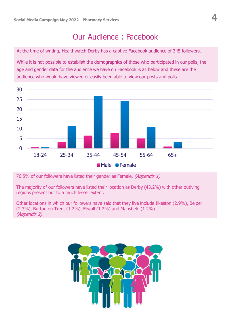## Our Audience : Facebook

At the time of writing, Healthwatch Derby has a captive Facebook audience of 345 followers.

While it is not possible to establish the demographics of those who participated in our polls, the age and gender data for the audience we have on Facebook is as below and these are the audience who would have viewed or easily been able to view our posts and polls.



76.5% of our followers have listed their gender as Female. (Appendix 1)

The majority of our followers have listed their location as Derby (43.2%) with other outlying regions present but to a much lesser extent.

Other locations in which our followers have said that they live include Ilkeston (2.9%), Belper (2.3%), Burton on Trent (1.2%), Etwall (1.2%) and Mansfield (1.2%). (Appendix 2)

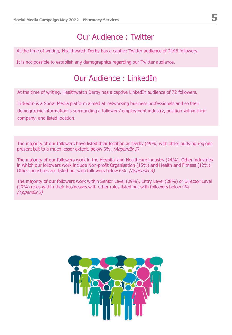## Our Audience : Twitter

At the time of writing, Healthwatch Derby has a captive Twitter audience of 2146 followers.

It is not possible to establish any demographics regarding our Twitter audience.

### Our Audience : LinkedIn

At the time of writing, Healthwatch Derby has a captive LinkedIn audience of 72 followers.

LinkedIn is a Social Media platform aimed at networking business professionals and so their demographic information is surrounding a followers' employment industry, position within their company, and listed location.

The majority of our followers have listed their location as Derby (49%) with other outlying regions present but to a much lesser extent, below 6%. (Appendix 3)

The majority of our followers work in the Hospital and Healthcare industry (24%). Other industries in which our followers work include Non-profit Organisation (15%) and Health and Fitness (12%). Other industries are listed but with followers below 6%. (Appendix 4)

The majority of our followers work within Senior Level (29%), Entry Level (28%) or Director Level (17%) roles within their businesses with other roles listed but with followers below 4%. (Appendix 5)

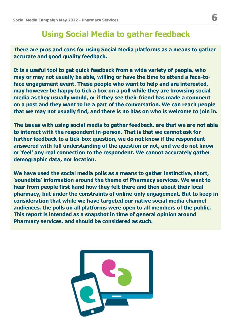### **Using Social Media to gather feedback**

**There are pros and cons for using Social Media platforms as a means to gather accurate and good quality feedback.** 

**It is a useful tool to get quick feedback from a wide variety of people, who may or may not usually be able, willing or have the time to attend a face-toface engagement event. These people who want to help and are interested, may however be happy to tick a box on a poll while they are browsing social media as they usually would, or if they see their friend has made a comment on a post and they want to be a part of the conversation. We can reach people that we may not usually find, and there is no bias on who is welcome to join in.**

**The issues with using social media to gather feedback, are that we are not able to interact with the respondent in-person. That is that we cannot ask for further feedback to a tick-box question, we do not know if the respondent answered with full understanding of the question or not, and we do not know or 'feel' any real connection to the respondent. We cannot accurately gather demographic data, nor location.**

**We have used the social media polls as a means to gather instinctive, short, 'soundbite' information around the theme of Pharmacy services. We want to hear from people first hand how they felt there and then about their local pharmacy, but under the constraints of online-only engagement. But to keep in consideration that while we have targeted our native social media channel audiences, the polls on all platforms were open to all members of the public. This report is intended as a snapshot in time of general opinion around Pharmacy services, and should be considered as such.**

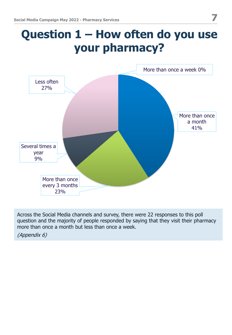## **Question 1 – How often do you use your pharmacy?**



Across the Social Media channels and survey, there were 22 responses to this poll question and the majority of people responded by saying that they visit their pharmacy more than once a month but less than once a week.

(Appendix 6)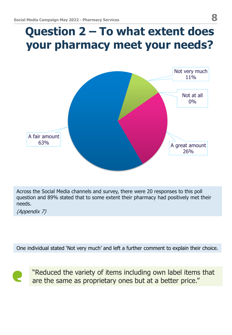## **Question 2 – To what extent does your pharmacy meet your needs?**



Across the Social Media channels and survey, there were 20 responses to this poll question and 89% stated that to some extent their pharmacy had positively met their needs.

(Appendix 7)

One individual stated 'Not very much' and left a further comment to explain their choice.



"Reduced the variety of items including own label items that are the same as proprietary ones but at a better price."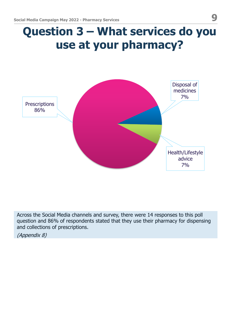## **Question 3 – What services do you use at your pharmacy?**



Across the Social Media channels and survey, there were 14 responses to this poll question and 86% of respondents stated that they use their pharmacy for dispensing and collections of prescriptions.

(Appendix 8)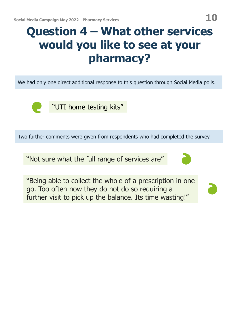## **Question 4 – What other services would you like to see at your pharmacy?**

We had only one direct additional response to this question through Social Media polls.



"UTI home testing kits"

Two further comments were given from respondents who had completed the survey.

"Not sure what the full range of services are"

"Being able to collect the whole of a prescription in one go. Too often now they do not do so requiring a further visit to pick up the balance. Its time wasting!"

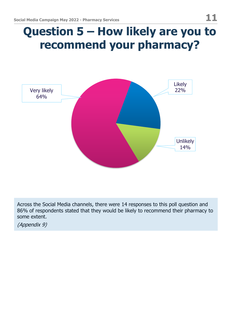## **Question 5 – How likely are you to recommend your pharmacy?**



Across the Social Media channels, there were 14 responses to this poll question and 86% of respondents stated that they would be likely to recommend their pharmacy to some extent.

(Appendix 9)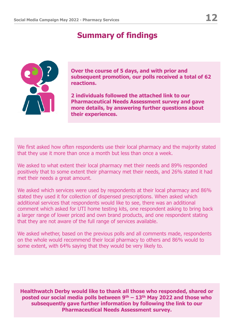## **Summary of findings**



**Over the course of 5 days, and with prior and subsequent promotion, our polls received a total of 62 reactions.**

**2 individuals followed the attached link to our Pharmaceutical Needs Assessment survey and gave more details, by answering further questions about their experiences.** 

We first asked how often respondents use their local pharmacy and the majority stated that they use it more than once a month but less than once a week.

We asked to what extent their local pharmacy met their needs and 89% responded positively that to some extent their pharmacy met their needs, and 26% stated it had met their needs a great amount.

We asked which services were used by respondents at their local pharmacy and 86% stated they used it for collection of dispensed prescriptions. When asked which additional services that respondents would like to see, there was an additional comment which asked for UTI home testing kits, one respondent asking to bring back a larger range of lower priced and own brand products, and one respondent stating that they are not aware of the full range of services available.

We asked whether, based on the previous polls and all comments made, respondents on the whole would recommend their local pharmacy to others and 86% would to some extent, with 64% saying that they would be very likely to.

**Healthwatch Derby would like to thank all those who responded, shared or posted our social media polls between 9th – 13th May 2022 and those who subsequently gave further information by following the link to our Pharmaceutical Needs Assessment survey.**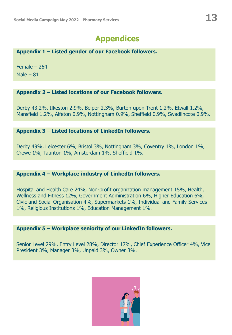#### **Appendix 1 – Listed gender of our Facebook followers.**

Female – 264 Male  $-81$ 

#### **Appendix 2 – Listed locations of our Facebook followers.**

Derby 43.2%, Ilkeston 2.9%, Belper 2.3%, Burton upon Trent 1.2%, Etwall 1.2%, Mansfield 1.2%, Alfeton 0.9%, Nottingham 0.9%, Sheffield 0.9%, Swadlincote 0.9%.

#### **Appendix 3 – Listed locations of LinkedIn followers.**

Derby 49%, Leicester 6%, Bristol 3%, Nottingham 3%, Coventry 1%, London 1%, Crewe 1%, Taunton 1%, Amsterdam 1%, Sheffield 1%.

#### **Appendix 4 – Workplace industry of LinkedIn followers.**

Hospital and Health Care 24%, Non-profit organization management 15%, Health, Wellness and Fitness 12%, Government Administration 6%, Higher Education 6%, Civic and Social Organisation 4%, Supermarkets 1%, Individual and Family Services 1%, Religious Institutions 1%, Education Management 1%.

#### **Appendix 5 – Workplace seniority of our LinkedIn followers.**

Senior Level 29%, Entry Level 28%, Director 17%, Chief Experience Officer 4%, Vice President 3%, Manager 3%, Unpaid 3%, Owner 3%.

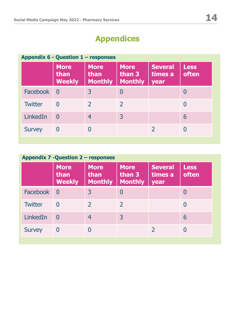| Appendix 6 - Question 1 - responses |                                      |                                       |                                         |                                   |                      |
|-------------------------------------|--------------------------------------|---------------------------------------|-----------------------------------------|-----------------------------------|----------------------|
|                                     | <b>More</b><br>than<br><b>Weekly</b> | <b>More</b><br>than<br><b>Monthly</b> | <b>More</b><br>than 3<br><b>Monthly</b> | <b>Several</b><br>times a<br>year | <b>Less</b><br>often |
| Facebook                            | $\overline{0}$                       | 3                                     | 0                                       |                                   | 0                    |
| <b>Twitter</b>                      | $\Omega$                             | $\mathcal{P}$                         | $\mathcal{P}$                           |                                   |                      |
| LinkedIn                            | $\overline{0}$                       | 4                                     | 3                                       |                                   | 6                    |
| <b>Survey</b>                       | 0                                    |                                       |                                         |                                   |                      |

| Appendix 7 - Question 2 - responses |                                      |                                       |                                         |                                   |                      |
|-------------------------------------|--------------------------------------|---------------------------------------|-----------------------------------------|-----------------------------------|----------------------|
|                                     | <b>More</b><br>than<br><b>Weekly</b> | <b>More</b><br>than<br><b>Monthly</b> | <b>More</b><br>than 3<br><b>Monthly</b> | <b>Several</b><br>times a<br>year | <b>Less</b><br>often |
| Facebook 0                          |                                      | $\overline{3}$                        |                                         |                                   | 0                    |
| <b>Twitter</b>                      | $\mathbf{I}$                         |                                       | $\mathcal{L}$                           |                                   |                      |
| LinkedIn                            | $\Omega$                             | 4                                     | 3                                       |                                   | 6                    |
| <b>Survey</b>                       |                                      |                                       |                                         |                                   |                      |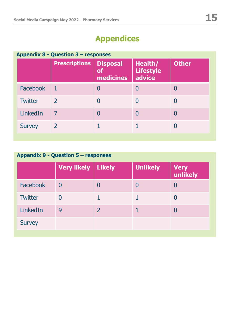|                 | <b>Prescriptions</b> | <b>Disposal</b><br><b>of</b><br>medicines | <b>Health/</b><br><b>Lifestyle</b><br>advice | <b>Other</b> |
|-----------------|----------------------|-------------------------------------------|----------------------------------------------|--------------|
| <b>Facebook</b> |                      |                                           |                                              |              |
| <b>Twitter</b>  | $\mathcal{L}$        |                                           |                                              |              |
| LinkedIn        | 7                    |                                           | 0                                            | 0            |
| <b>Survey</b>   | 2                    |                                           |                                              |              |

### **Appendix 9 - Question 5 – responses**

|                | Very likely   Likely | <b>Unlikely</b> | <b>Very</b><br>unlikely |
|----------------|----------------------|-----------------|-------------------------|
| Facebook       | $\overline{0}$       |                 |                         |
| <b>Twitter</b> | $\Omega$             |                 |                         |
| LinkedIn       | 9                    |                 |                         |
| <b>Survey</b>  |                      |                 |                         |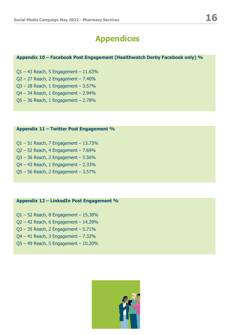#### **Appendix 10 – Facebook Post Engagement (Healthwatch Derby Facebook only) %**

 $Q1 - 43$  Reach, 5 Engagement - 11.63%

Q2 – 27 Reach, 2 Engagement – 7.40%

Q3 – 28 Reach, 1 Engagement – 3.57%

Q4 – 34 Reach, 1 Engagement – 2.94%

Q5 – 36 Reach, 1 Engagement – 2.78%

#### **Appendix 11 – Twitter Post Engagement %**

Q1 – 51 Reach, 7 Engagement – 13.73% Q2 – 52 Reach, 4 Engagement – 7.69% Q3 – 36 Reach, 2 Engagement – 5.56% Q4 – 43 Reach, 1 Engagement – 2.33% Q5 – 56 Reach, 2 Engagement – 3.57%

#### **Appendix 12 – LinkedIn Post Engagement %**

Q1 – 52 Reach, 8 Engagement – 15.38% Q2 – 42 Reach, 6 Engagement – 14.29% Q3 – 35 Reach, 2 Engagement – 5.71% Q4 – 41 Reach, 3 Engagement – 7.32% Q5 – 49 Reach, 5 Engagement – 10.20%